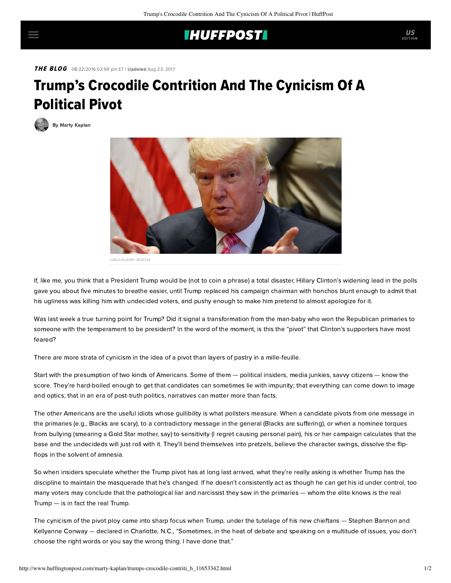## **IHUFFPOSTI**

THE BLOG 08/22/2016 02:59 pm ET | Updated Aug 23, 2017

## Trump's Crocodile Contrition And The Cynicism Of A Political Pivot

[By Marty Kaplan](http://www.huffingtonpost.com/author/marty-kaplan)



If, like me, you think that a President Trump would be (not to coin a phrase) a total disaster, Hillary Clinton's widening lead in the polls gave you about five minutes to breathe easier, until Trump replaced his campaign chairman with honchos blunt enough to admit that his ugliness was killing him with undecided voters, and pushy enough to make him pretend to almost apologize for it.

Was last week a true turning point for Trump? Did it signal a transformation from the man-baby who won the Republican primaries to someone with the temperament to be president? In the word of the moment, is this the "pivot" that Clinton's supporters have most feared?

There are more strata of cynicism in the idea of a pivot than layers of pastry in a mille-feuille.

Start with the presumption of two kinds of Americans. Some of them — political insiders, media junkies, savvy citizens — know the score. They're hard-boiled enough to get that candidates can sometimes lie with impunity; that everything can come down to image and optics; that in an era of post-truth politics, narratives can matter more than facts.

The other Americans are the useful idiots whose gullibility is what pollsters measure. When a candidate pivots from one message in the primaries (e.g., Blacks are scary), to a contradictory message in the general (Blacks are suffering), or when a nominee torques from bullying (smearing a Gold Star mother, say) to sensitivity (I regret causing personal pain), his or her campaign calculates that the base and the undecideds will just roll with it. They'll bend themselves into pretzels, believe the character swings, dissolve the flipflops in the solvent of amnesia.

So when insiders speculate whether the Trump pivot has at long last arrived, what they're really asking is whether Trump has the discipline to maintain the masquerade that he's changed. If he doesn't consistently act as though he can get his id under control, too many voters may conclude that the pathological liar and narcissist they saw in the primaries — whom the elite knows is the real Trump — is in fact the real Trump.

The cynicism of the pivot ploy came into sharp focus when Trump, under the tutelage of his new chieftans — Stephen Bannon and Kellyanne Conway — [declared](http://www.cnn.com/2016/08/18/politics/trump-i-regret-sometimes-saying-wrong-thing/) in Charlotte, N.C., "Sometimes, in the heat of debate and speaking on a multitude of issues, you don't choose the right words or you say the wrong thing. I have done that."